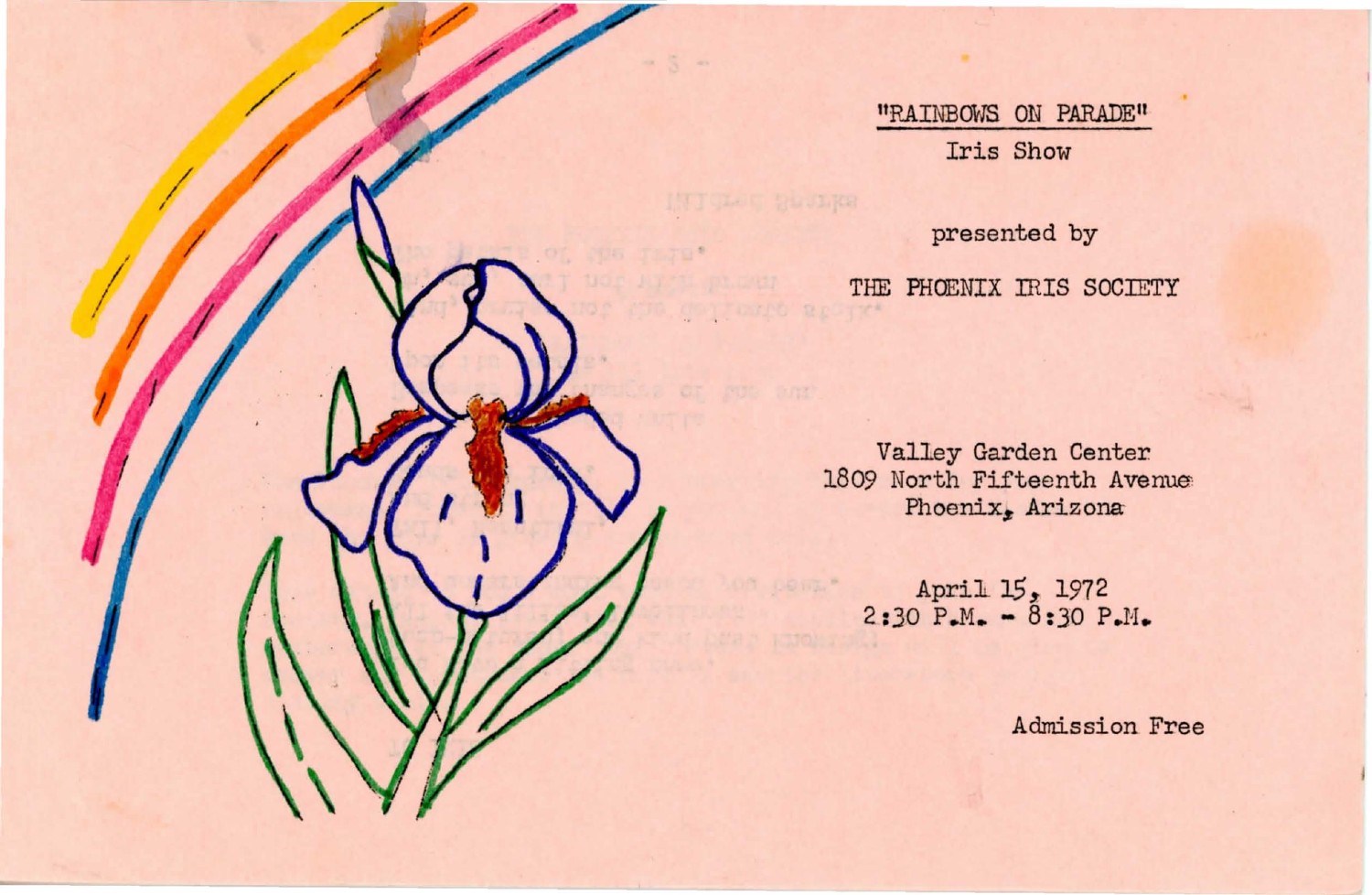"RAINBOWS ON PARADE" Iris Show

/

/ /

/

/

presented by THE PHOENIX IRIS SOCIETY

 $\sim$ 

Valley Garden Center. 1809 North Fifteenth Avenue Phoenix, Arizona

> April 15, 1972  $2:30 \text{ P.M.} - 8:30 \text{ P.M.}$

> > Admission Free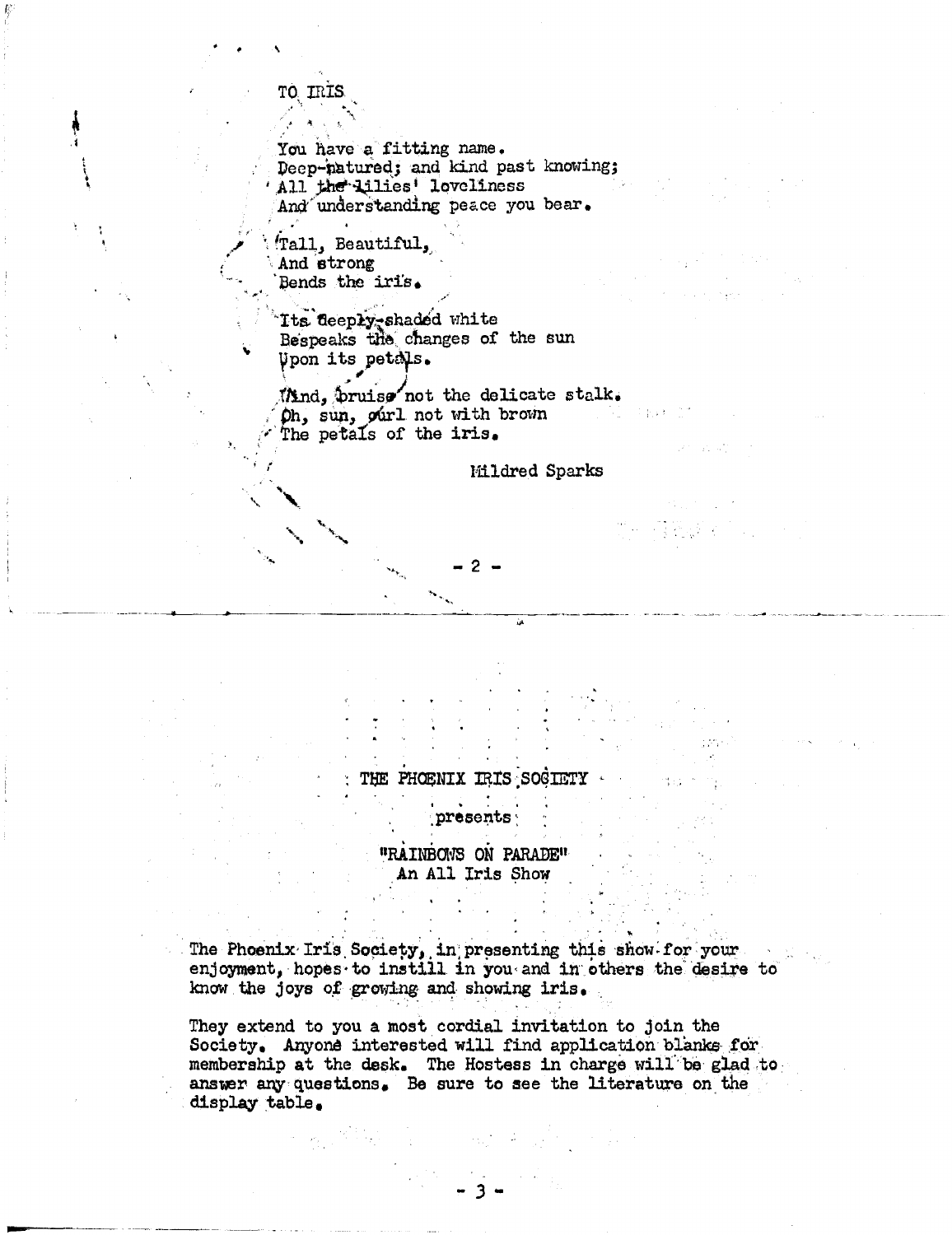## TO IRI

You have a fitting name. Deep-natured; and kind past knowing; All the lilies' loveliness And understanding peace you bear.

Tall, Beautiful, And strong Bends the iris.

Its deeply-shaded white Bespeaks the changes of the sun Upon its petals.

Mind, pruise not the delicate stalk. Oh, sun, ourl not with brown The petals of the iris.

Mildred Sparks

THE PHOENIX IRIS SOCIETY

presents

"RAINBOWS ON PARADE" An All Iris Show

The Phoenix Iris Society, in presenting this show for your enjoyment, hopes to instill in you and in others the desire to know the joys of growing and showing iris.

They extend to you a most cordial invitation to join the Society. Anyone interested will find application blanks for membership at the desk. The Hostess in charge will be glad to answer any questions. Be sure to see the literature on the display table.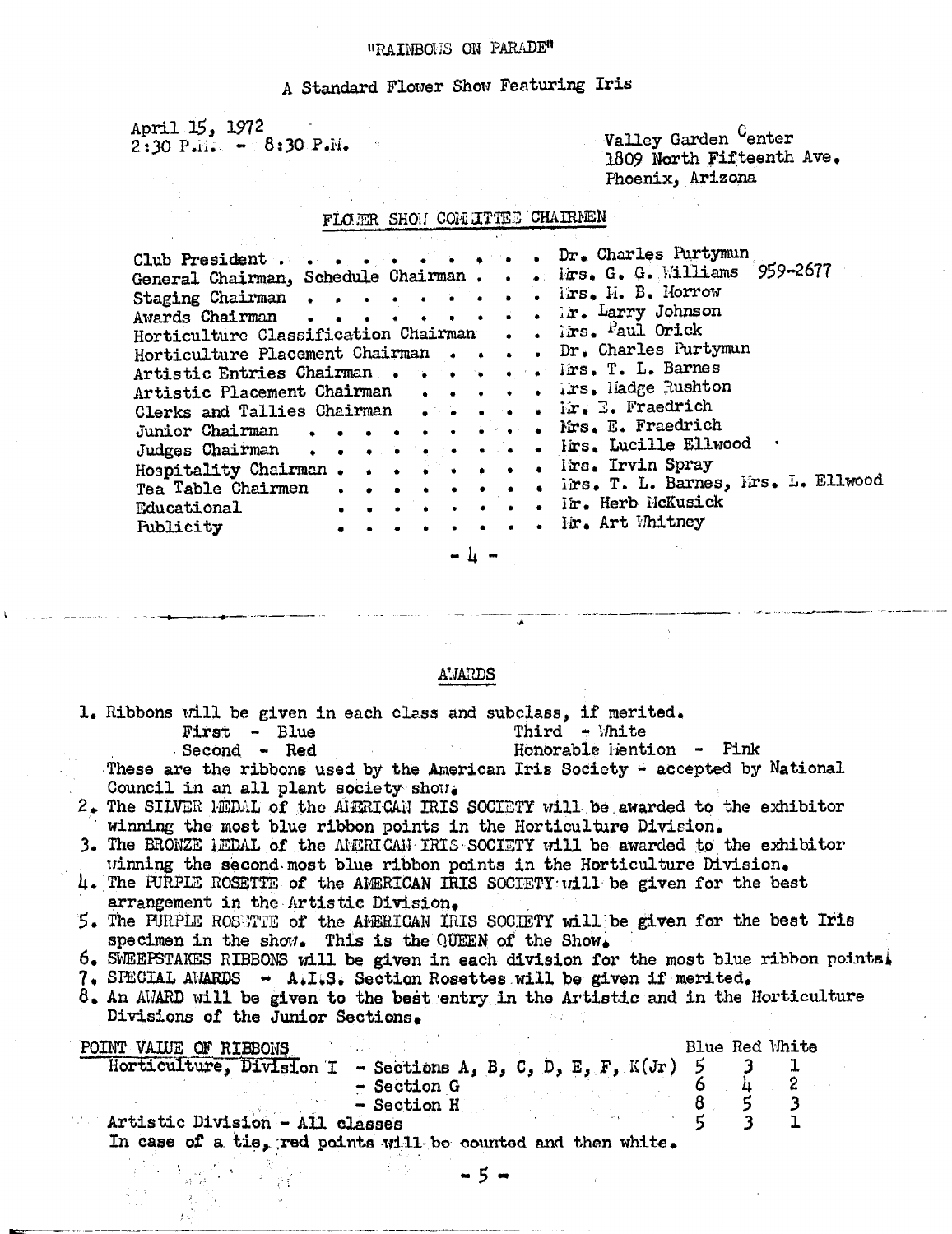# "RAINBOUS ON PARADE"

# A Standard Flower Show Featuring Iris

April 15, 1972<br>2:30 P.M. - 8:30 P.M.

Valley Garden <sup>C</sup>enter<br>1809 North Fifteenth Ave. Phoenix, Arizona

 $\bar{\lambda}$ 

# FLOER SHOW CONTITEE CHAIRMEN

| Club President Dr. Charles Purtymun                  |  |  |  |                                                                   |
|------------------------------------------------------|--|--|--|-------------------------------------------------------------------|
|                                                      |  |  |  | General Chairman, Schedule Chairman Firs. G. G. Williams 959-2677 |
| Staging Chairman Irs. H. B. Morrow                   |  |  |  |                                                                   |
|                                                      |  |  |  |                                                                   |
| Awards Chairman Larry Johnson                        |  |  |  |                                                                   |
| Horticulture Classification Chairman ims. Paul Orick |  |  |  |                                                                   |
|                                                      |  |  |  | Horticulture Placement Chairman Dr. Charles Purtymun              |
|                                                      |  |  |  |                                                                   |
| Artistic Entries Chairman Irs. T. L. Barnes          |  |  |  |                                                                   |
| Artistic Placement Chairman Trs. Hadge Rushton       |  |  |  |                                                                   |
| Clerks and Tallies Chairman Fraedrich                |  |  |  |                                                                   |
| Junior Chairman Fraedrich                            |  |  |  |                                                                   |
|                                                      |  |  |  | Judges Chairman Hrs. Lucille Ellwood                              |
|                                                      |  |  |  |                                                                   |
|                                                      |  |  |  |                                                                   |
|                                                      |  |  |  | Tea Table Chairmen Trs. T. L. Barnes, Mrs. L. Ellwood             |
| Educational Fir. Herb HcKusick                       |  |  |  |                                                                   |
|                                                      |  |  |  |                                                                   |
| Publicity Fir. Art Whitney                           |  |  |  |                                                                   |
|                                                      |  |  |  |                                                                   |
|                                                      |  |  |  |                                                                   |

Ĵ.

A'.JAPDS

| 1. Ribbons will be given in each class and subclass, if merited.<br>Third $-M$ nite<br>First - Blue<br><b>Example 1</b> Honorable is intion - Pink<br><b>Second - Red</b>                                                                                                                                   |
|-------------------------------------------------------------------------------------------------------------------------------------------------------------------------------------------------------------------------------------------------------------------------------------------------------------|
| These are the ribbons used by the American Iris Society $\div$ accepted by National<br>Council in an all plant society show.                                                                                                                                                                                |
| 2. The SILVER HEDAL of the AIERICAN IRIS SOCIETY will be awarded to the exhibitor<br>winning the most blue ribbon points in the Horticulture Division.                                                                                                                                                      |
| 3. The BRONZE HEDAL of the AMERICAN IRIS SOCIETY will be awarded to the exhibitor                                                                                                                                                                                                                           |
| winning the second most blue ribbon points in the Horticulture Division.<br>4. The FURPLE ROSETTE of the AMERICAN IRIS SOCIETY will be given for the best<br>arrangement in the Artistic Division.                                                                                                          |
| 5. The FURPIE ROSETTE of the AMERICAN IRIS SOCIETY will be given for the best Iris<br>specimen in the show. This is the QUEEN of the Show.                                                                                                                                                                  |
| 6. SWEEPSTAKES RIBBONS will be given in each division for the most blue ribbon points!<br>$7.$ SPECIAL AWARDS $\rightarrow$ A.I.S. Section Rosettes will be given if merited.<br>$8.$ An AWARD will be given to the best entry in the Artistic and in the Horticulture<br>Divisions of the Junior Sections. |
| Blue Red White<br>POINT VALUE OF RIBBONS<br>Horticulture, Division I - Sections A, B, C, D, E, F, K(Jr) 5<br>$-$ Section G<br>$-$ Section H<br>$\frac{6}{5}$                                                                                                                                                |
| Artistic Division - All classes                                                                                                                                                                                                                                                                             |
| In case of a tie, red points will be counted and then white.                                                                                                                                                                                                                                                |

 $-5$ 

ika<br>Seba

 $\begin{array}{c} \mathbb{R}^3 \rightarrow \\ \mathbb{R}^4 \rightarrow \mathbb{R}^4 \end{array}$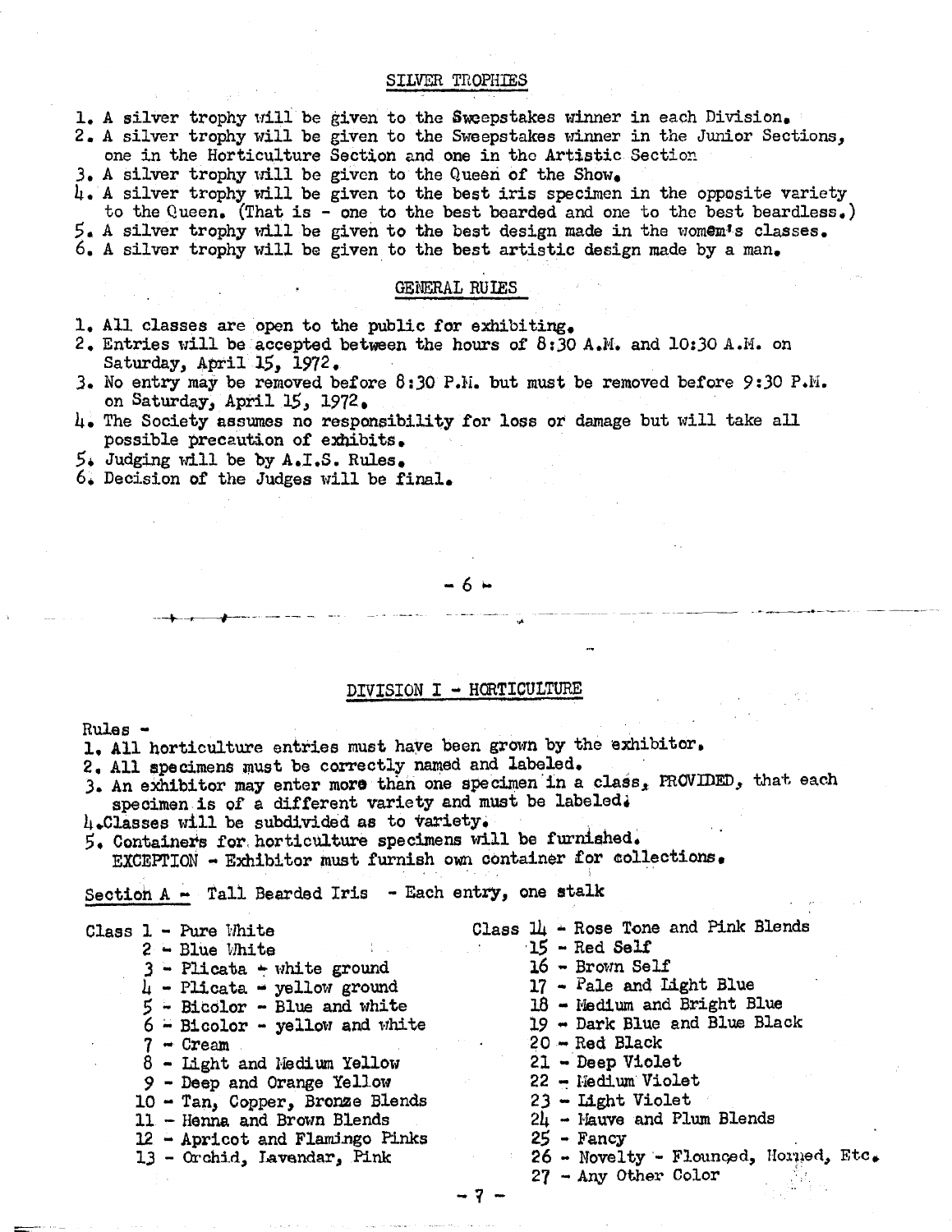#### SILVER TROPHIES

1. A silver trophy will be given to the Sweepstakes winner in each Division. 2. A silver trophy will be given to the Sweepstakes winner in the Junior Sections, one in the Horticulture Section and one in tho Artistic Section

 $3.$  A silver trophy will be given to the Queen of the Show.

 $l_i$ . A silver trophy will be given to the best iris specimen in the opposite variety to the Queen. (That is - one to the best bearded and one to the best beardless.)  $5.$  A silver trophy will be given to the best design made in the vomem's classes. 6. A silver trophy will be given to the best artistic design made by a man.

#### GENERAL RUIES

1. All classes are open to the public for exhibiting.

- 2. Entries will be accepted between the hours of  $8:30$  A.M. and  $10:30$  A.M. on Saturday, April 15, 1972.
- 3. No entry may be removed before 8:30 P.H. but must be removed before 9:30 P.N. on Saturday, April 15, 1972.
- 4. The Society assumes no responsibility for loss or damage but will take all possible precaution of exhibits.
- 5. Judging will be by A.I.S. Rules,

.. --+-~--..... --.- \_.\_- ... \_ ..

 $6.$  Decision of the Judges will be final.

#### -6 ...

### DIVISION I - HORTICULTURE

Rules

Rules -<br>1. All horticulture entries must have been grown by the exhibitor.

.' 2. All specimens must be correctly named and labeled.<br>3. An exhibitor may enter more than one specimen in a class, PROVIDED, that each specimen is of a different variety and must be labeled.<br> $l_i$ .Classes will be subdivided as to variety.

 $5.6$  Containers for horticulture specimens will be furnished.<br>EXCEPTION - Exhibitor must furnish own container for collections.

Section  $A - Tall$  Bearded Iris - Each entry, one stalk

|  | <b>Class 1 - Pure White</b>                  | Class $1\!\mu$ - Rose Tone and Pink Blends |
|--|----------------------------------------------|--------------------------------------------|
|  | $2 -$ Blue White<br>and the company          | $15$ - Red Self                            |
|  | $3$ - Plicata + white ground                 | $16$ - Brown Self                          |
|  | $\mu$ - Plicata - yellow ground              | $17$ - Pale and Light Blue                 |
|  | $5 - \text{Bicolor} - \text{Blue}$ and white | $18$ - Medium and Bright Blue              |
|  | $6$ - Bicolor - yellow and white             | 19 - Dark Blue and Blue Black              |
|  | $7 -$ Cream                                  | $20 - Red Black$                           |
|  | 8 - Light and Medium Yellow                  | $21 - \text{Deep Video}$                   |
|  | $9$ - Deep and Orange Yellow                 | 22 - Nedium Violet                         |
|  | 10 - Tan, Copper, Bronze Blends              | $23$ - Light Violet                        |
|  | 11 - Henna and Brown Blends                  | $24$ - Mauve and Plum Blends               |
|  | 12 - Apricot and Flamingo Pinks              | $25 -$ Fancy                               |
|  | 13 - Orchid, Lavendar, Pink                  | 26 - Novelty - Flounced, Horned, Etc.      |
|  |                                              | $27 - Any Other Color$                     |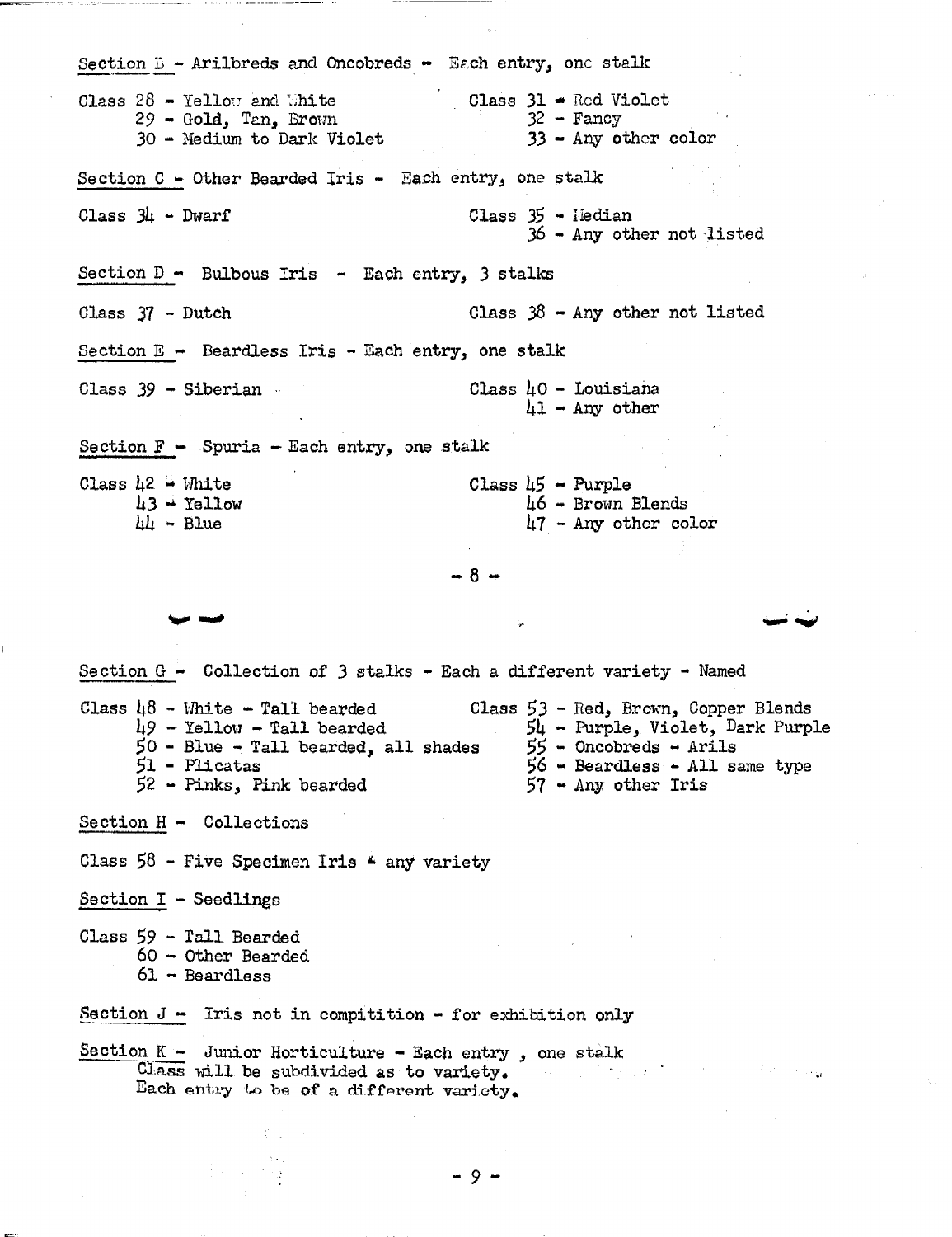Section  $B -$  Arilbreds and Oncobreds - Each entry, one stalk Class  $31 -$ Red Violet Class  $28$  - Yellow and White  $29 - Gold, Tan, Brown$  $32 - Fancy$ 30 - Medium to Dark Violet  $33 - Any other color$ Section C - Other Bearded Iris - Each entry, one stalk Class  $3\mu$  - Dwarf  $Class 35 - Iiedian$ 36 - Any other not listed Section  $D -$  Bulbous Iris - Each entry, 3 stalks Class 37 - Dutch Class  $38$  - Any other not listed Section  $E -$  Beardless Iris - Each entry, one stalk Class  $39 - Siberian$ .  $Class h0 - Louisiana$  $\mu$ 1 - Any other Section  $F -$  Spuria - Each entry, one stalk Class  $h2 - White$ Class  $\mu$ 5 - Purple  $h3 - Y$ ellow  $\text{L6}$  - Brown Blends  $\mu$ 7 - Any other color  $\mu$  - Blue  $-8 -$ Section  $G -$  Collection of 3 stalks - Each a different variety - Named Class  $\mu$ 8 - White - Tall bearded Class 53 - Red, Brown, Copper Blends  $49$  - Yellow - Tall bearded  $54$  - Purple, Violet, Dark Purple n jihar  $50$  - Blue - Tall bearded, all shades  $55$  - Oncobreds - Arils  $51 -$ Plicatas  $56$  - Beardless - All same type  $52$  - Pinks, Pink bearded  $57$  - Any other Iris Section  $H -$  Collections Class  $58$  - Five Specimen Iris  $\frac{2}{3}$  any variety Section I - Seedlings Class 59 - Tall Bearded  $60 - Other$  Bearded  $61 -$ Beardless Section  $J - T$ is not in compitition - for exhibition only Section  $K - J$ unior Horticulture - Each entry, one stalk Class will be subdivided as to variety.  $\omega_{\rm{m}}$  . Each entry to be of a different variety.

 $-9 -$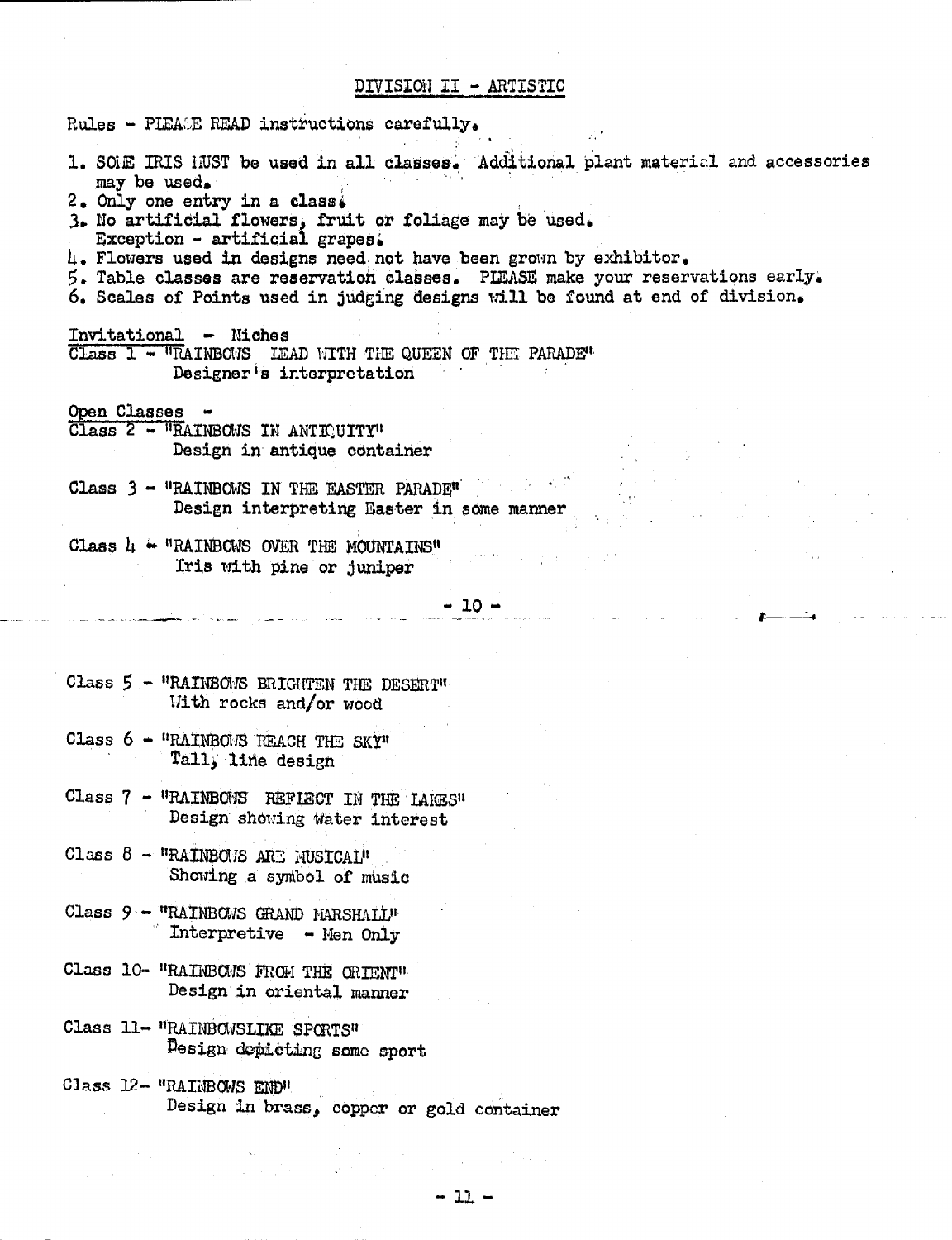# DIVISION II - ARTISTIC

| Rules - PIEACE READ instructions carefully.                                                                                                                                                                                                                                                                                                                                                                                                                               |  |
|---------------------------------------------------------------------------------------------------------------------------------------------------------------------------------------------------------------------------------------------------------------------------------------------------------------------------------------------------------------------------------------------------------------------------------------------------------------------------|--|
| 1. SOLE IRIS HUST be used in all classes. Additional plant material and accessories<br>may be used.<br>2. Only one entry in a class.<br>3. No artificial flowers, fruit or foliage may be used.<br>Exception - artificial grapes.<br>4. Flowers used in designs need not have been grown by exhibitor.<br>5. Table classes are reservation classes. PIEASE make your reservations early.<br>6. Scales of Points used in judging designs will be found at end of division. |  |
| Invitational - Niches<br>Class 1 - "RAINBOMS LEAD WITH THE QUEEN OF THE PARADE"<br>Designer's interpretation                                                                                                                                                                                                                                                                                                                                                              |  |
| Open Classes -<br>Class 2 - "RAINBOWS IN ANTICUITY"<br>Design in antique container                                                                                                                                                                                                                                                                                                                                                                                        |  |
| Class $3 -$ "RAINBOWS IN THE EASTER PARADE"<br>Design interpreting Easter in some manner                                                                                                                                                                                                                                                                                                                                                                                  |  |
| Class $\mathbb{L}$ - "RAINBOWS OVER THE MOUNTAINS"<br>Iris with pine or juniper                                                                                                                                                                                                                                                                                                                                                                                           |  |
| $-10 -$                                                                                                                                                                                                                                                                                                                                                                                                                                                                   |  |
|                                                                                                                                                                                                                                                                                                                                                                                                                                                                           |  |
| Class $5 -$ "RAINBOMS BRIGHTEN THE DESERT"<br>With rocks and/or wood                                                                                                                                                                                                                                                                                                                                                                                                      |  |
| Class $6 -$ "RAINBOMS REACH THE SKY"<br>Tall, line design                                                                                                                                                                                                                                                                                                                                                                                                                 |  |
| Class 7 - "RAINBONS REFIECT IN THE LAKES"<br>Design showing water interest                                                                                                                                                                                                                                                                                                                                                                                                |  |
| Class 8 - "RAINBOMS ARE MUSICAL"<br>Showing a symbol of music                                                                                                                                                                                                                                                                                                                                                                                                             |  |
| Class $9 -$ "RAINBOWS GRAND MARSHALL"<br>Interpretive - Men Only                                                                                                                                                                                                                                                                                                                                                                                                          |  |
| Class 10- "RAINBOMS FROM THE ORIENT"<br>Design in oriental manner<br>$\sim 10^{11}$ and $\sim 10^{11}$                                                                                                                                                                                                                                                                                                                                                                    |  |
| Class 11- "RAINBOWSLIKE SPORTS"<br>Design depicting some sport                                                                                                                                                                                                                                                                                                                                                                                                            |  |

Class 12- "RAINBOWS END"<br>Design in brass, copper or gold container

 $\label{eq:1} \frac{1}{\sqrt{2\pi}}\int_{\mathbb{R}^3}\frac{1}{\sqrt{2\pi}}\int_{\mathbb{R}^3}\frac{1}{\sqrt{2\pi}}\int_{\mathbb{R}^3}\frac{1}{\sqrt{2\pi}}\int_{\mathbb{R}^3}\frac{1}{\sqrt{2\pi}}\int_{\mathbb{R}^3}\frac{1}{\sqrt{2\pi}}\int_{\mathbb{R}^3}\frac{1}{\sqrt{2\pi}}\int_{\mathbb{R}^3}\frac{1}{\sqrt{2\pi}}\int_{\mathbb{R}^3}\frac{1}{\sqrt{2\pi}}\int_{\mathbb{R}^3}\frac{1}{\$ 

 $\sqrt{2}$  and  $\sqrt{2}$ 

 $\sim 10^{10}$ 

 $\label{eq:2.1} \mathcal{F}^{\text{max}}_{\text{max}} = \mathcal{F}^{\text{max}}_{\text{max}} + \mathcal{F}^{\text{max}}_{\text{max}}$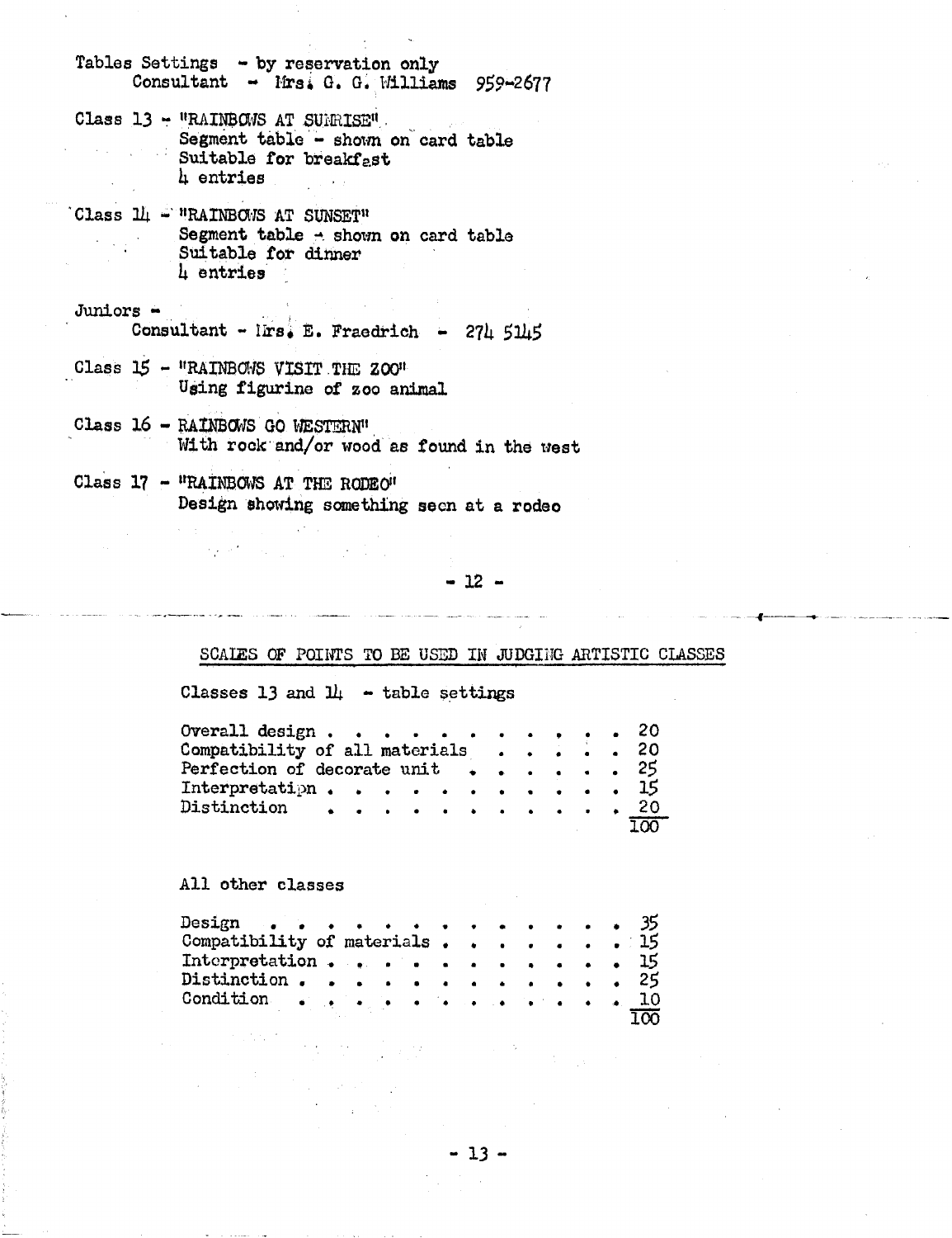Tables Settings - by reservation only Consultant - Mrs. G. G. Williams 959-2677

- Class 13 "RAINBOWS AT SURRISE". Segment table - shown on card table Suitable for breakfast 4 entries
- Class 14 "RAINBOWS AT SUNSET" Segment table - shown on card table Suitable for dinner 4 entries

 $J$ uniors  $-$ Consultant - Irs. E. Fraedrich - 274 5145

- Class 15 "RAINBOWS VISIT THE ZOO" Using figurine of zoo animal
- Class 16 RAINBOWS GO WESTERN" With rock and/or wood as found in the west
- Class 17 "RAINBOWS AT THE RODEO" Design showing something seen at a rodeo

 $\label{eq:2.1} \mathcal{L}^{\text{max}}_{\text{max}}(\mathbf{z}^{\text{max}}_{\text{max}}, \mathbf{z}^{\text{max}}_{\text{max}}) = \mathcal{L}^{\text{max}}_{\text{max}}(\mathbf{z}^{\text{max}}_{\text{max}}),$ 

 $-12 -$ 

### SCALES OF POINTS TO BE USED IN JUDGING ARTISTIC CLASSES

Classes 13 and  $1\mu$  - table settings

| Overall design 20                            |  |  |  |  |  |                  |
|----------------------------------------------|--|--|--|--|--|------------------|
| Compatibility of all materials $\ldots$ , 20 |  |  |  |  |  |                  |
| Perfection of decorate unit $\cdots$ 25      |  |  |  |  |  |                  |
| ${\rm Interpretatipn}$ 15                    |  |  |  |  |  |                  |
| Distinction 20                               |  |  |  |  |  |                  |
|                                              |  |  |  |  |  | 100 <sub>1</sub> |

All other classes

| Design $\cdots$ $\cdots$ $\cdots$ $\cdots$ $\cdots$ $\cdots$ $\cdots$ 35                                                                                                                                                                                                                                                               |  |  |  |  |  |  |  |
|----------------------------------------------------------------------------------------------------------------------------------------------------------------------------------------------------------------------------------------------------------------------------------------------------------------------------------------|--|--|--|--|--|--|--|
| Compatibility of materials 15                                                                                                                                                                                                                                                                                                          |  |  |  |  |  |  |  |
| Interpretation 15                                                                                                                                                                                                                                                                                                                      |  |  |  |  |  |  |  |
| Distinction $\cdots$ $\cdots$ $\cdots$ $\cdots$ $\cdots$ $\cdots$ $\cdots$ $\cdots$ $\cdots$ $\cdots$ $\cdots$ $\cdots$ $\cdots$ $\cdots$ $\cdots$ $\cdots$ $\cdots$ $\cdots$ $\cdots$ $\cdots$ $\cdots$ $\cdots$ $\cdots$ $\cdots$ $\cdots$ $\cdots$ $\cdots$ $\cdots$ $\cdots$ $\cdots$ $\cdots$ $\cdots$ $\cdots$ $\cdots$ $\cdots$ |  |  |  |  |  |  |  |
|                                                                                                                                                                                                                                                                                                                                        |  |  |  |  |  |  |  |
|                                                                                                                                                                                                                                                                                                                                        |  |  |  |  |  |  |  |

 $-13-$